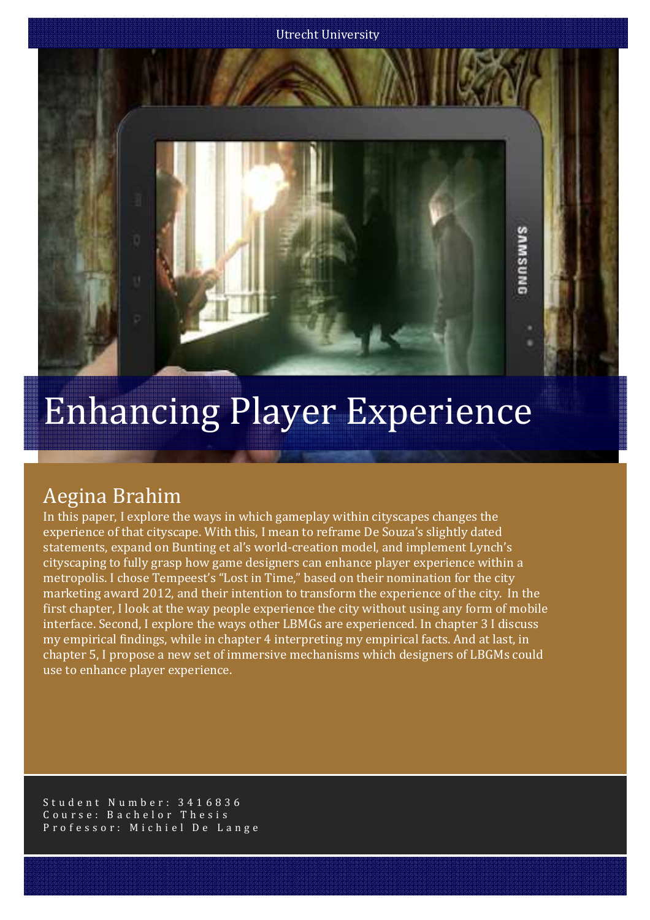

# Enhancing Player Experience

## Aegina Brahim

In this paper, I explore the ways in which gameplay within cityscapes changes the experience of that cityscape. With this, I mean to reframe De Souza's slightly dated statements, expand on Bunting et al's world-creation model, and implement Lynch's cityscaping to fully grasp how game designers can enhance player experience within a metropolis. I chose Tempeest's "Lost in Time," based on their nomination for the city marketing award 2012, and their intention to transform the experience of the city. In the first chapter, I look at the way people experience the city without using any form of mobile interface. Second, I explore the ways other LBMGs are experienced. In chapter 3 I discuss my empirical findings, while in chapter 4 interpreting my empirical facts. And at last, in chapter 5, I propose a new set of immersive mechanisms which designers of LBGMs could use to enhance player experience.

Student Number: 3416836 Course: Bachelor Thesis Professor: Michiel De Lange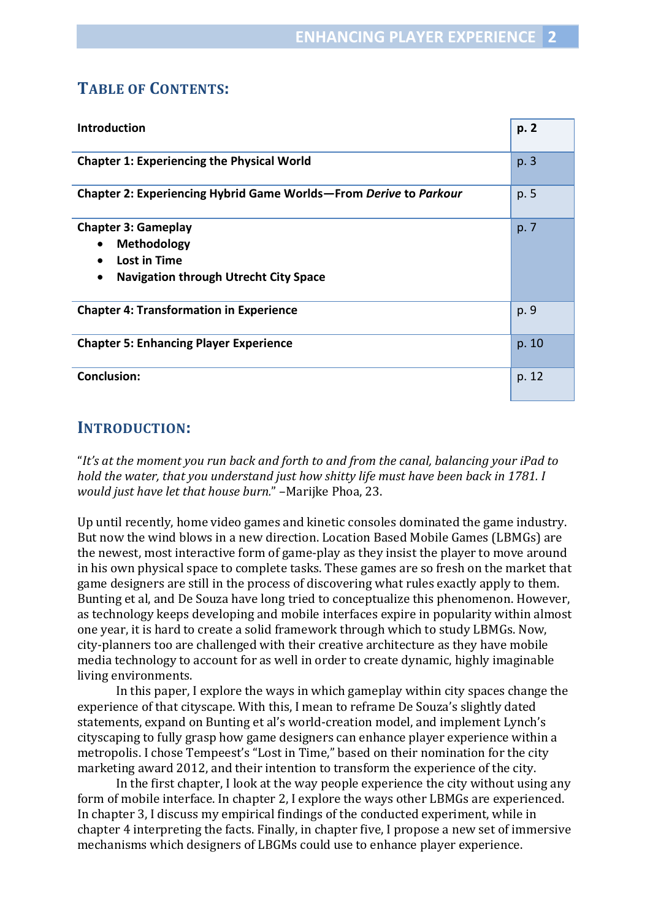## **TABLE OF CONTENTS:**

| <b>Introduction</b>                                                                                                                              | p. 2  |
|--------------------------------------------------------------------------------------------------------------------------------------------------|-------|
| <b>Chapter 1: Experiencing the Physical World</b>                                                                                                | p.3   |
| Chapter 2: Experiencing Hybrid Game Worlds-From Derive to Parkour                                                                                | p. 5  |
| <b>Chapter 3: Gameplay</b><br>Methodology<br>$\bullet$<br>Lost in Time<br>$\bullet$<br><b>Navigation through Utrecht City Space</b><br>$\bullet$ | p. 7  |
| <b>Chapter 4: Transformation in Experience</b>                                                                                                   | p. 9  |
| <b>Chapter 5: Enhancing Player Experience</b>                                                                                                    | p. 10 |
| <b>Conclusion:</b>                                                                                                                               | p. 12 |

## **INTRODUCTION:**

"*It's at the moment you run back and forth to and from the canal, balancing your iPad to hold the water, that you understand just how shitty life must have been back in 1781. I would just have let that house burn.*" –Marijke Phoa, 23.

Up until recently, home video games and kinetic consoles dominated the game industry. But now the wind blows in a new direction. Location Based Mobile Games (LBMGs) are the newest, most interactive form of game-play as they insist the player to move around in his own physical space to complete tasks. These games are so fresh on the market that game designers are still in the process of discovering what rules exactly apply to them. Bunting et al, and De Souza have long tried to conceptualize this phenomenon. However, as technology keeps developing and mobile interfaces expire in popularity within almost one year, it is hard to create a solid framework through which to study LBMGs. Now, city-planners too are challenged with their creative architecture as they have mobile media technology to account for as well in order to create dynamic, highly imaginable living environments.

 In this paper, I explore the ways in which gameplay within city spaces change the experience of that cityscape. With this, I mean to reframe De Souza's slightly dated statements, expand on Bunting et al's world-creation model, and implement Lynch's cityscaping to fully grasp how game designers can enhance player experience within a metropolis. I chose Tempeest's "Lost in Time," based on their nomination for the city marketing award 2012, and their intention to transform the experience of the city.

 In the first chapter, I look at the way people experience the city without using any form of mobile interface. In chapter 2, I explore the ways other LBMGs are experienced. In chapter 3, I discuss my empirical findings of the conducted experiment, while in chapter 4 interpreting the facts. Finally, in chapter five, I propose a new set of immersive mechanisms which designers of LBGMs could use to enhance player experience.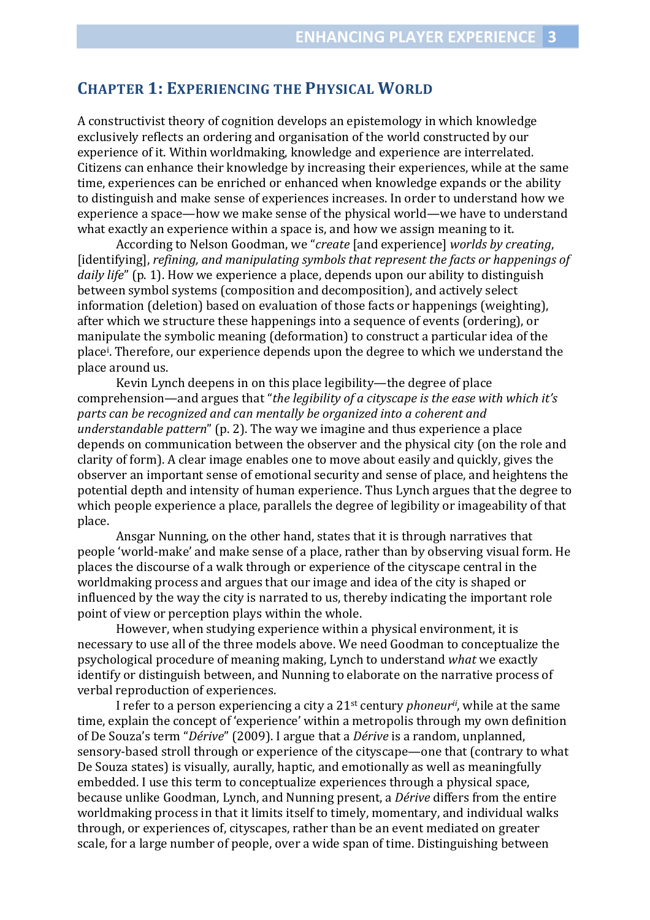## **CHAPTER 1: EXPERIENCING THE PHYSICAL WORLD**

A constructivist theory of cognition develops an epistemology in which knowledge exclusively reflects an ordering and organisation of the world constructed by our experience of it. Within worldmaking, knowledge and experience are interrelated. Citizens can enhance their knowledge by increasing their experiences, while at the same time, experiences can be enriched or enhanced when knowledge expands or the ability to distinguish and make sense of experiences increases. In order to understand how we experience a space—how we make sense of the physical world—we have to understand what exactly an experience within a space is, and how we assign meaning to it.

 According to Nelson Goodman, we "*create* [and experience] *worlds by creating*, [identifying], *refining, and manipulating symbols that represent the facts or happenings of daily life*" (p. 1). How we experience a place, depends upon our ability to distinguish between symbol systems (composition and decomposition), and actively select information (deletion) based on evaluation of those facts or happenings (weighting), after which we structure these happenings into a sequence of events (ordering), or manipulate the symbolic meaning (deformation) to construct a particular idea of the place[i](#page-13-0) . Therefore, our experience depends upon the degree to which we understand the place around us.

 Kevin Lynch deepens in on this place legibility—the degree of place comprehension—and argues that "*the legibility of a cityscape is the ease with which it's parts can be recognized and can mentally be organized into a coherent and understandable pattern*" (p. 2). The way we imagine and thus experience a place depends on communication between the observer and the physical city (on the role and clarity of form). A clear image enables one to move about easily and quickly, gives the observer an important sense of emotional security and sense of place, and heightens the potential depth and intensity of human experience. Thus Lynch argues that the degree to which people experience a place, parallels the degree of legibility or imageability of that place.

 Ansgar Nunning, on the other hand, states that it is through narratives that people 'world-make' and make sense of a place, rather than by observing visual form. He places the discourse of a walk through or experience of the cityscape central in the worldmaking process and argues that our image and idea of the city is shaped or influenced by the way the city is narrated to us, thereby indicating the important role point of view or perception plays within the whole.

 However, when studying experience within a physical environment, it is necessary to use all of the three models above. We need Goodman to conceptualize the psychological procedure of meaning making, Lynch to understand *what* we exactly identify or distinguish between, and Nunning to elaborate on the narrative process of verbal reproduction of experiences.

I refer to a person experiencing a city a 21st century *phoneurii*[,](#page-13-0) while at the same time, explain the concept of 'experience' within a metropolis through my own definition of De Souza's term "*Dérive*" (2009). I argue that a *Dérive* is a random, unplanned, sensory-based stroll through or experience of the cityscape—one that (contrary to what De Souza states) is visually, aurally, haptic, and emotionally as well as meaningfully embedded. I use this term to conceptualize experiences through a physical space, because unlike Goodman, Lynch, and Nunning present, a *Dérive* differs from the entire worldmaking process in that it limits itself to timely, momentary, and individual walks through, or experiences of, cityscapes, rather than be an event mediated on greater scale, for a large number of people, over a wide span of time. Distinguishing between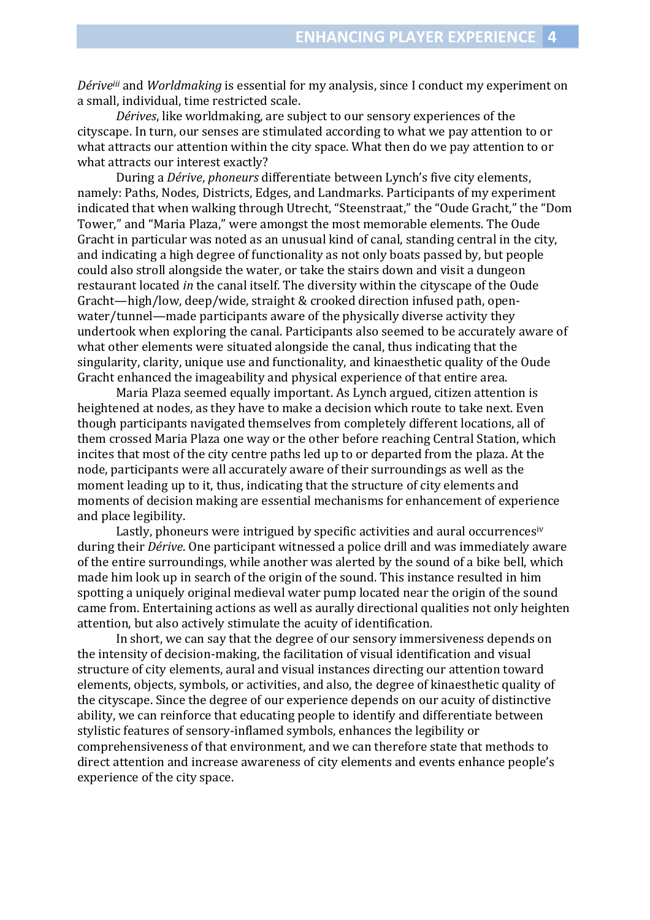*Dérive[iii](#page-13-0)* and *Worldmaking* is essential for my analysis, since I conduct my experiment on a small, individual, time restricted scale.

*Dérives*, like worldmaking, are subject to our sensory experiences of the cityscape. In turn, our senses are stimulated according to what we pay attention to or what attracts our attention within the city space. What then do we pay attention to or what attracts our interest exactly?

 During a *Dérive*, *phoneurs* differentiate between Lynch's five city elements, namely: Paths, Nodes, Districts, Edges, and Landmarks. Participants of my experiment indicated that when walking through Utrecht, "Steenstraat," the "Oude Gracht," the "Dom Tower," and "Maria Plaza," were amongst the most memorable elements. The Oude Gracht in particular was noted as an unusual kind of canal, standing central in the city, and indicating a high degree of functionality as not only boats passed by, but people could also stroll alongside the water, or take the stairs down and visit a dungeon restaurant located *in* the canal itself. The diversity within the cityscape of the Oude Gracht—high/low, deep/wide, straight & crooked direction infused path, openwater/tunnel—made participants aware of the physically diverse activity they undertook when exploring the canal. Participants also seemed to be accurately aware of what other elements were situated alongside the canal, thus indicating that the singularity, clarity, unique use and functionality, and kinaesthetic quality of the Oude Gracht enhanced the imageability and physical experience of that entire area.

 Maria Plaza seemed equally important. As Lynch argued, citizen attention is heightened at nodes, as they have to make a decision which route to take next. Even though participants navigated themselves from completely different locations, all of them crossed Maria Plaza one way or the other before reaching Central Station, which incites that most of the city centre paths led up to or departed from the plaza. At the node, participants were all accurately aware of their surroundings as well as the moment leading up to it, thus, indicating that the structure of city elements and moments of decision making are essential mechanisms for enhancement of experience and place legibility.

 Lastly, phoneurs were intrigued by specific activities and aural occurrences[iv](#page-13-0) during their *Dérive*. One participant witnessed a police drill and was immediately aware of the entire surroundings, while another was alerted by the sound of a bike bell, which made him look up in search of the origin of the sound. This instance resulted in him spotting a uniquely original medieval water pump located near the origin of the sound came from. Entertaining actions as well as aurally directional qualities not only heighten attention, but also actively stimulate the acuity of identification.

 In short, we can say that the degree of our sensory immersiveness depends on the intensity of decision-making, the facilitation of visual identification and visual structure of city elements, aural and visual instances directing our attention toward elements, objects, symbols, or activities, and also, the degree of kinaesthetic quality of the cityscape. Since the degree of our experience depends on our acuity of distinctive ability, we can reinforce that educating people to identify and differentiate between stylistic features of sensory-inflamed symbols, enhances the legibility or comprehensiveness of that environment, and we can therefore state that methods to direct attention and increase awareness of city elements and events enhance people's experience of the city space.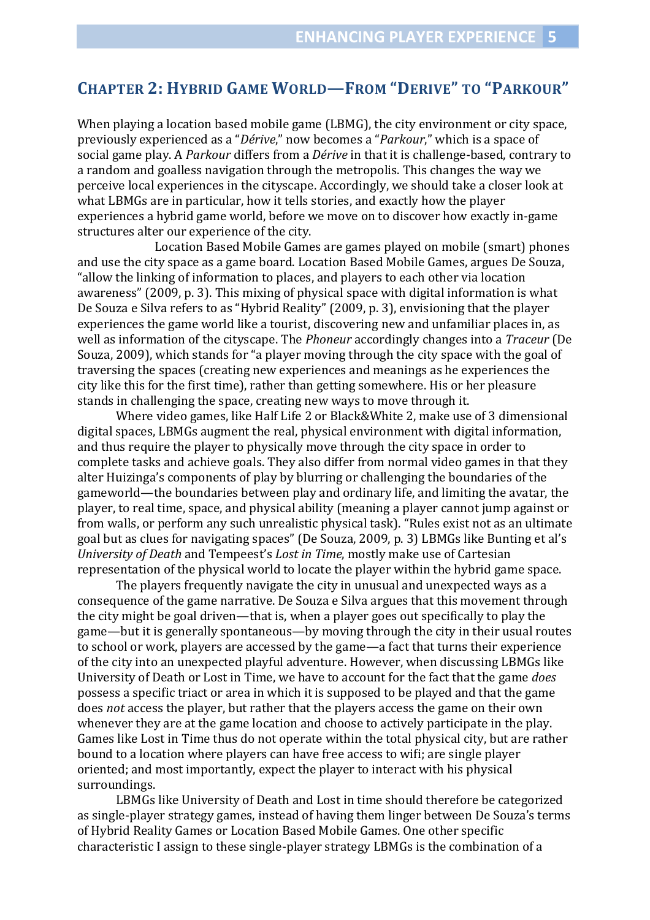## **CHAPTER 2: HYBRID GAME WORLD—FROM "DERIVE" TO "PARKOUR"**

When playing a location based mobile game (LBMG), the city environment or city space, previously experienced as a "*Dérive*," now becomes a "*Parkour*," which is a space of social game play. A *Parkour* differs from a *Dérive* in that it is challenge-based, contrary to a random and goalless navigation through the metropolis. This changes the way we perceive local experiences in the cityscape. Accordingly, we should take a closer look at what LBMGs are in particular, how it tells stories, and exactly how the player experiences a hybrid game world, before we move on to discover how exactly in-game structures alter our experience of the city.

 Location Based Mobile Games are games played on mobile (smart) phones and use the city space as a game board. Location Based Mobile Games, argues De Souza, "allow the linking of information to places, and players to each other via location awareness" (2009, p. 3). This mixing of physical space with digital information is what De Souza e Silva refers to as "Hybrid Reality" (2009, p. 3), envisioning that the player experiences the game world like a tourist, discovering new and unfamiliar places in, as well as information of the cityscape. The *Phoneur* accordingly changes into a *Traceur* (De Souza, 2009), which stands for "a player moving through the city space with the goal of traversing the spaces (creating new experiences and meanings as he experiences the city like this for the first time), rather than getting somewhere. His or her pleasure stands in challenging the space, creating new ways to move through it.

Where video games, like Half Life 2 or Black&White 2, make use of 3 dimensional digital spaces, LBMGs augment the real, physical environment with digital information, and thus require the player to physically move through the city space in order to complete tasks and achieve goals. They also differ from normal video games in that they alter Huizinga's components of play by blurring or challenging the boundaries of the gameworld—the boundaries between play and ordinary life, and limiting the avatar, the player, to real time, space, and physical ability (meaning a player cannot jump against or from walls, or perform any such unrealistic physical task). "Rules exist not as an ultimate goal but as clues for navigating spaces" (De Souza, 2009, p. 3) LBMGs like Bunting et al's *University of Death* and Tempeest's *Lost in Time*, mostly make use of Cartesian representation of the physical world to locate the player within the hybrid game space.

The players frequently navigate the city in unusual and unexpected ways as a consequence of the game narrative. De Souza e Silva argues that this movement through the city might be goal driven—that is, when a player goes out specifically to play the game—but it is generally spontaneous—by moving through the city in their usual routes to school or work, players are accessed by the game—a fact that turns their experience of the city into an unexpected playful adventure. However, when discussing LBMGs like University of Death or Lost in Time, we have to account for the fact that the game *does* possess a specific triact or area in which it is supposed to be played and that the game does *not* access the player, but rather that the players access the game on their own whenever they are at the game location and choose to actively participate in the play. Games like Lost in Time thus do not operate within the total physical city, but are rather bound to a location where players can have free access to wifi; are single player oriented; and most importantly, expect the player to interact with his physical surroundings.

LBMGs like University of Death and Lost in time should therefore be categorized as single-player strategy games, instead of having them linger between De Souza's terms of Hybrid Reality Games or Location Based Mobile Games. One other specific characteristic I assign to these single-player strategy LBMGs is the combination of a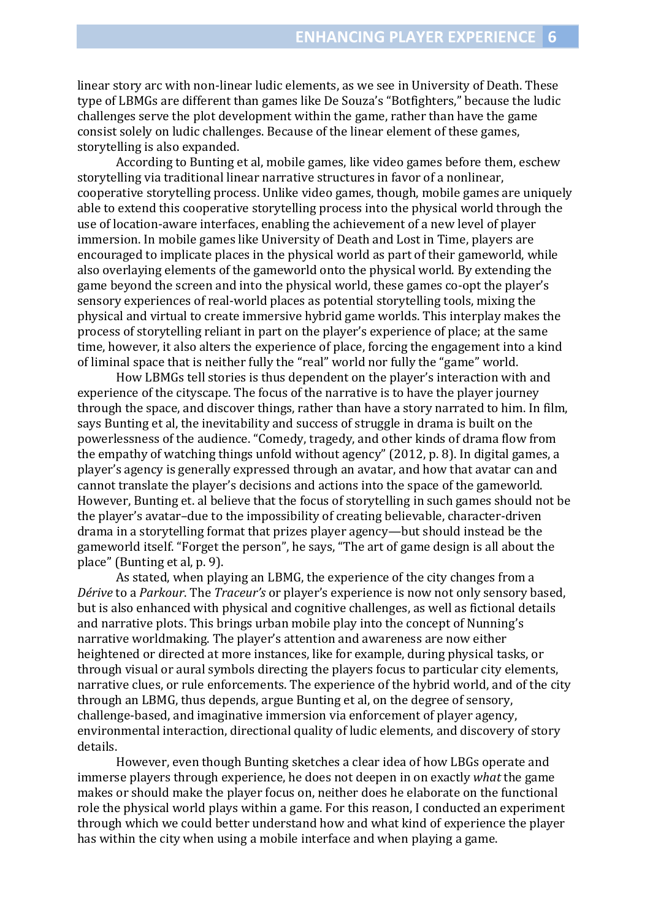linear story arc with non-linear ludic elements, as we see in University of Death. These type of LBMGs are different than games like De Souza's "Botfighters," because the ludic challenges serve the plot development within the game, rather than have the game consist solely on ludic challenges. Because of the linear element of these games, storytelling is also expanded.

According to Bunting et al, mobile games, like video games before them, eschew storytelling via traditional linear narrative structures in favor of a nonlinear, cooperative storytelling process. Unlike video games, though, mobile games are uniquely able to extend this cooperative storytelling process into the physical world through the use of location-aware interfaces, enabling the achievement of a new level of player immersion. In mobile games like University of Death and Lost in Time, players are encouraged to implicate places in the physical world as part of their gameworld, while also overlaying elements of the gameworld onto the physical world. By extending the game beyond the screen and into the physical world, these games co-opt the player's sensory experiences of real-world places as potential storytelling tools, mixing the physical and virtual to create immersive hybrid game worlds. This interplay makes the process of storytelling reliant in part on the player's experience of place; at the same time, however, it also alters the experience of place, forcing the engagement into a kind of liminal space that is neither fully the "real" world nor fully the "game" world.

How LBMGs tell stories is thus dependent on the player's interaction with and experience of the cityscape. The focus of the narrative is to have the player journey through the space, and discover things, rather than have a story narrated to him. In film, says Bunting et al, the inevitability and success of struggle in drama is built on the powerlessness of the audience. "Comedy, tragedy, and other kinds of drama flow from the empathy of watching things unfold without agency" (2012, p. 8). In digital games, a player's agency is generally expressed through an avatar, and how that avatar can and cannot translate the player's decisions and actions into the space of the gameworld. However, Bunting et. al believe that the focus of storytelling in such games should not be the player's avatar–due to the impossibility of creating believable, character-driven drama in a storytelling format that prizes player agency—but should instead be the gameworld itself. "Forget the person", he says, "The art of game design is all about the place" (Bunting et al, p. 9).

As stated, when playing an LBMG, the experience of the city changes from a *Dérive* to a *Parkour*. The *Traceur's* or player's experience is now not only sensory based, but is also enhanced with physical and cognitive challenges, as well as fictional details and narrative plots. This brings urban mobile play into the concept of Nunning's narrative worldmaking. The player's attention and awareness are now either heightened or directed at more instances, like for example, during physical tasks, or through visual or aural symbols directing the players focus to particular city elements, narrative clues, or rule enforcements. The experience of the hybrid world, and of the city through an LBMG, thus depends, argue Bunting et al, on the degree of sensory, challenge-based, and imaginative immersion via enforcement of player agency, environmental interaction, directional quality of ludic elements, and discovery of story details.

However, even though Bunting sketches a clear idea of how LBGs operate and immerse players through experience, he does not deepen in on exactly *what* the game makes or should make the player focus on, neither does he elaborate on the functional role the physical world plays within a game. For this reason, I conducted an experiment through which we could better understand how and what kind of experience the player has within the city when using a mobile interface and when playing a game.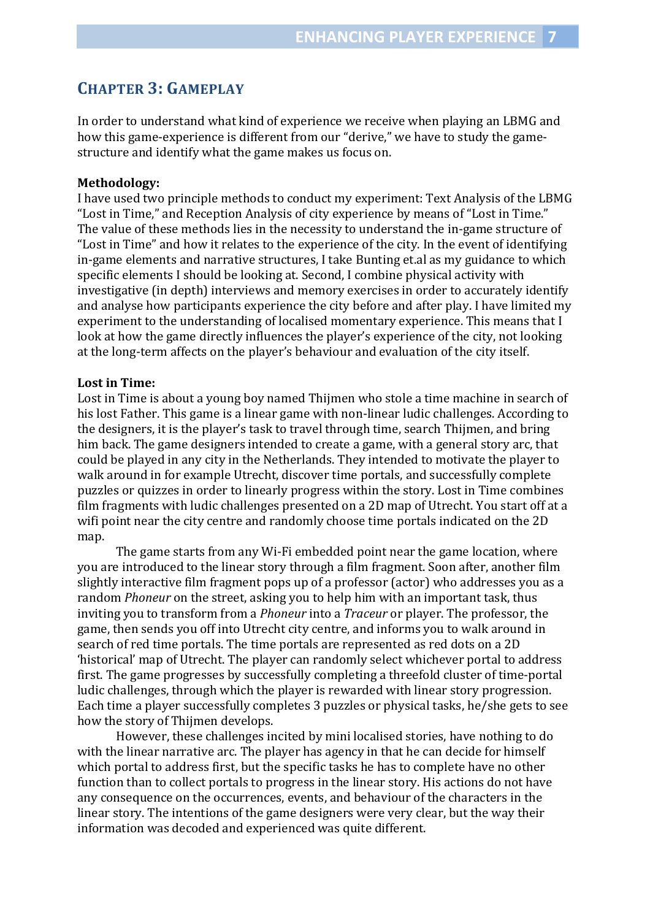## **CHAPTER 3: GAMEPLAY**

In order to understand what kind of experience we receive when playing an LBMG and how this game-experience is different from our "derive," we have to study the gamestructure and identify what the game makes us focus on.

#### **Methodology:**

I have used two principle methods to conduct my experiment: Text Analysis of the LBMG "Lost in Time," and Reception Analysis of city experience by means of "Lost in Time." The value of these methods lies in the necessity to understand the in-game structure of "Lost in Time" and how it relates to the experience of the city. In the event of identifying in-game elements and narrative structures, I take Bunting et.al as my guidance to which specific elements I should be looking at. Second, I combine physical activity with investigative (in depth) interviews and memory exercises in order to accurately identify and analyse how participants experience the city before and after play. I have limited my experiment to the understanding of localised momentary experience. This means that I look at how the game directly influences the player's experience of the city, not looking at the long-term affects on the player's behaviour and evaluation of the city itself.

#### **Lost in Time:**

Lost in Time is about a young boy named Thijmen who stole a time machine in search of his lost Father. This game is a linear game with non-linear ludic challenges. According to the designers, it is the player's task to travel through time, search Thijmen, and bring him back. The game designers intended to create a game, with a general story arc, that could be played in any city in the Netherlands. They intended to motivate the player to walk around in for example Utrecht, discover time portals, and successfully complete puzzles or quizzes in order to linearly progress within the story. Lost in Time combines film fragments with ludic challenges presented on a 2D map of Utrecht. You start off at a wifi point near the city centre and randomly choose time portals indicated on the 2D map.

 The game starts from any Wi-Fi embedded point near the game location, where you are introduced to the linear story through a film fragment. Soon after, another film slightly interactive film fragment pops up of a professor (actor) who addresses you as a random *Phoneur* on the street, asking you to help him with an important task, thus inviting you to transform from a *Phoneur* into a *Traceur* or player. The professor, the game, then sends you off into Utrecht city centre, and informs you to walk around in search of red time portals. The time portals are represented as red dots on a 2D 'historical' map of Utrecht. The player can randomly select whichever portal to address first. The game progresses by successfully completing a threefold cluster of time-portal ludic challenges, through which the player is rewarded with linear story progression. Each time a player successfully completes 3 puzzles or physical tasks, he/she gets to see how the story of Thijmen develops.

 However, these challenges incited by mini localised stories, have nothing to do with the linear narrative arc. The player has agency in that he can decide for himself which portal to address first, but the specific tasks he has to complete have no other function than to collect portals to progress in the linear story. His actions do not have any consequence on the occurrences, events, and behaviour of the characters in the linear story. The intentions of the game designers were very clear, but the way their information was decoded and experienced was quite different.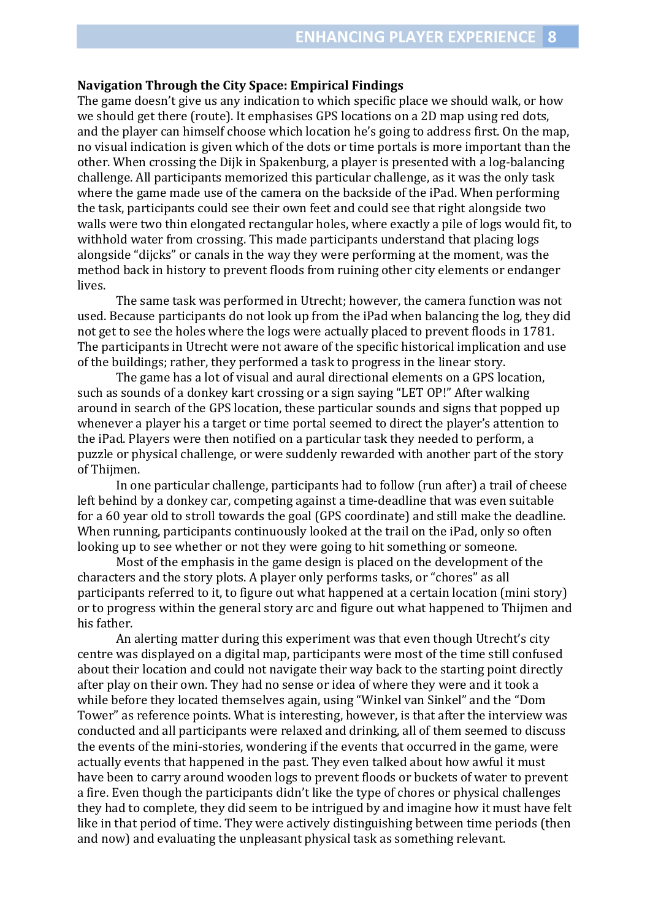#### **Navigation Through the City Space: Empirical Findings**

The game doesn't give us any indication to which specific place we should walk, or how we should get there (route). It emphasises GPS locations on a 2D map using red dots, and the player can himself choose which location he's going to address first. On the map, no visual indication is given which of the dots or time portals is more important than the other. When crossing the Dijk in Spakenburg, a player is presented with a log-balancing challenge. All participants memorized this particular challenge, as it was the only task where the game made use of the camera on the backside of the iPad. When performing the task, participants could see their own feet and could see that right alongside two walls were two thin elongated rectangular holes, where exactly a pile of logs would fit, to withhold water from crossing. This made participants understand that placing logs alongside "dijcks" or canals in the way they were performing at the moment, was the method back in history to prevent floods from ruining other city elements or endanger lives.

The same task was performed in Utrecht; however, the camera function was not used. Because participants do not look up from the iPad when balancing the log, they did not get to see the holes where the logs were actually placed to prevent floods in 1781. The participants in Utrecht were not aware of the specific historical implication and use of the buildings; rather, they performed a task to progress in the linear story.

 The game has a lot of visual and aural directional elements on a GPS location, such as sounds of a donkey kart crossing or a sign saying "LET OP!" After walking around in search of the GPS location, these particular sounds and signs that popped up whenever a player his a target or time portal seemed to direct the player's attention to the iPad. Players were then notified on a particular task they needed to perform, a puzzle or physical challenge, or were suddenly rewarded with another part of the story of Thijmen.

 In one particular challenge, participants had to follow (run after) a trail of cheese left behind by a donkey car, competing against a time-deadline that was even suitable for a 60 year old to stroll towards the goal (GPS coordinate) and still make the deadline. When running, participants continuously looked at the trail on the iPad, only so often looking up to see whether or not they were going to hit something or someone.

 Most of the emphasis in the game design is placed on the development of the characters and the story plots. A player only performs tasks, or "chores" as all participants referred to it, to figure out what happened at a certain location (mini story) or to progress within the general story arc and figure out what happened to Thijmen and his father.

 An alerting matter during this experiment was that even though Utrecht's city centre was displayed on a digital map, participants were most of the time still confused about their location and could not navigate their way back to the starting point directly after play on their own. They had no sense or idea of where they were and it took a while before they located themselves again, using "Winkel van Sinkel" and the "Dom Tower" as reference points. What is interesting, however, is that after the interview was conducted and all participants were relaxed and drinking, all of them seemed to discuss the events of the mini-stories, wondering if the events that occurred in the game, were actually events that happened in the past. They even talked about how awful it must have been to carry around wooden logs to prevent floods or buckets of water to prevent a fire. Even though the participants didn't like the type of chores or physical challenges they had to complete, they did seem to be intrigued by and imagine how it must have felt like in that period of time. They were actively distinguishing between time periods (then and now) and evaluating the unpleasant physical task as something relevant.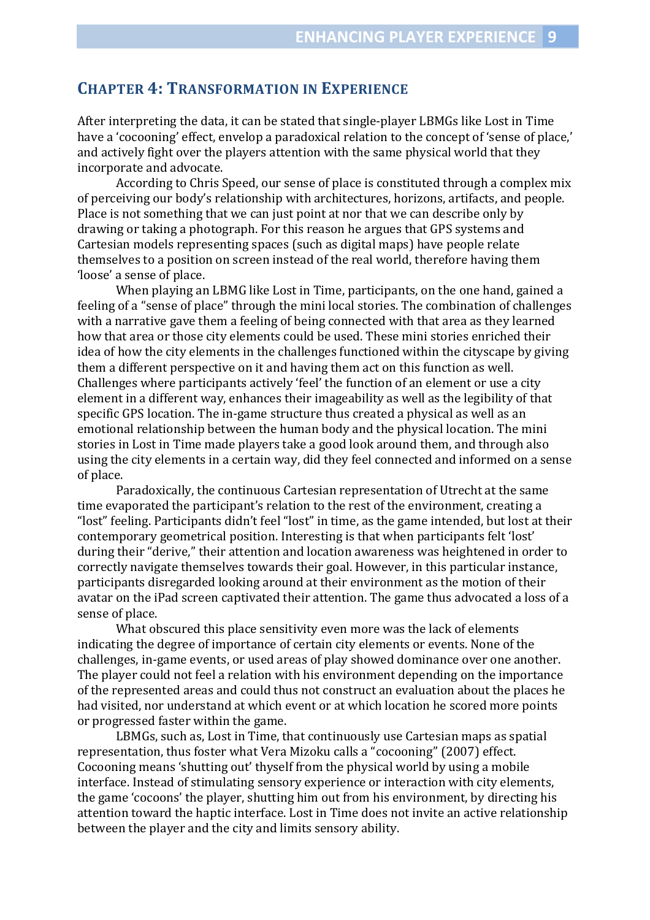## **CHAPTER 4: TRANSFORMATION IN EXPERIENCE**

After interpreting the data, it can be stated that single-player LBMGs like Lost in Time have a 'cocooning' effect, envelop a paradoxical relation to the concept of 'sense of place,' and actively fight over the players attention with the same physical world that they incorporate and advocate.

According to Chris Speed, our sense of place is constituted through a complex mix of perceiving our body's relationship with architectures, horizons, artifacts, and people. Place is not something that we can just point at nor that we can describe only by drawing or taking a photograph. For this reason he argues that GPS systems and Cartesian models representing spaces (such as digital maps) have people relate themselves to a position on screen instead of the real world, therefore having them 'loose' a sense of place.

When playing an LBMG like Lost in Time, participants, on the one hand, gained a feeling of a "sense of place" through the mini local stories. The combination of challenges with a narrative gave them a feeling of being connected with that area as they learned how that area or those city elements could be used. These mini stories enriched their idea of how the city elements in the challenges functioned within the cityscape by giving them a different perspective on it and having them act on this function as well. Challenges where participants actively 'feel' the function of an element or use a city element in a different way, enhances their imageability as well as the legibility of that specific GPS location. The in-game structure thus created a physical as well as an emotional relationship between the human body and the physical location. The mini stories in Lost in Time made players take a good look around them, and through also using the city elements in a certain way, did they feel connected and informed on a sense of place.

 Paradoxically, the continuous Cartesian representation of Utrecht at the same time evaporated the participant's relation to the rest of the environment, creating a "lost" feeling. Participants didn't feel "lost" in time, as the game intended, but lost at their contemporary geometrical position. Interesting is that when participants felt 'lost' during their "derive," their attention and location awareness was heightened in order to correctly navigate themselves towards their goal. However, in this particular instance, participants disregarded looking around at their environment as the motion of their avatar on the iPad screen captivated their attention. The game thus advocated a loss of a sense of place.

 What obscured this place sensitivity even more was the lack of elements indicating the degree of importance of certain city elements or events. None of the challenges, in-game events, or used areas of play showed dominance over one another. The player could not feel a relation with his environment depending on the importance of the represented areas and could thus not construct an evaluation about the places he had visited, nor understand at which event or at which location he scored more points or progressed faster within the game.

 LBMGs, such as, Lost in Time, that continuously use Cartesian maps as spatial representation, thus foster what Vera Mizoku calls a "cocooning" (2007) effect. Cocooning means 'shutting out' thyself from the physical world by using a mobile interface. Instead of stimulating sensory experience or interaction with city elements, the game 'cocoons' the player, shutting him out from his environment, by directing his attention toward the haptic interface. Lost in Time does not invite an active relationship between the player and the city and limits sensory ability.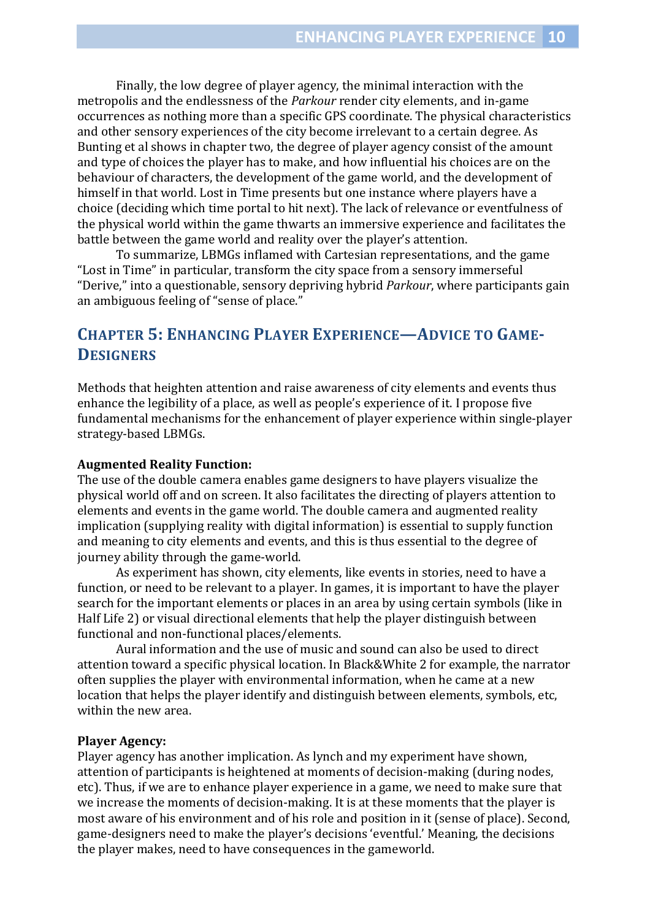Finally, the low degree of player agency, the minimal interaction with the metropolis and the endlessness of the *Parkour* render city elements, and in-game occurrences as nothing more than a specific GPS coordinate. The physical characteristics and other sensory experiences of the city become irrelevant to a certain degree. As Bunting et al shows in chapter two, the degree of player agency consist of the amount and type of choices the player has to make, and how influential his choices are on the behaviour of characters, the development of the game world, and the development of himself in that world. Lost in Time presents but one instance where players have a choice (deciding which time portal to hit next). The lack of relevance or eventfulness of the physical world within the game thwarts an immersive experience and facilitates the battle between the game world and reality over the player's attention.

To summarize, LBMGs inflamed with Cartesian representations, and the game "Lost in Time" in particular, transform the city space from a sensory immerseful "Derive," into a questionable, sensory depriving hybrid *Parkour*, where participants gain an ambiguous feeling of "sense of place."

## **CHAPTER 5: ENHANCING PLAYER EXPERIENCE—ADVICE TO GAME-DESIGNERS**

Methods that heighten attention and raise awareness of city elements and events thus enhance the legibility of a place, as well as people's experience of it. I propose five fundamental mechanisms for the enhancement of player experience within single-player strategy-based LBMGs.

#### **Augmented Reality Function:**

The use of the double camera enables game designers to have players visualize the physical world off and on screen. It also facilitates the directing of players attention to elements and events in the game world. The double camera and augmented reality implication (supplying reality with digital information) is essential to supply function and meaning to city elements and events, and this is thus essential to the degree of journey ability through the game-world.

 As experiment has shown, city elements, like events in stories, need to have a function, or need to be relevant to a player. In games, it is important to have the player search for the important elements or places in an area by using certain symbols (like in Half Life 2) or visual directional elements that help the player distinguish between functional and non-functional places/elements.

 Aural information and the use of music and sound can also be used to direct attention toward a specific physical location. In Black&White 2 for example, the narrator often supplies the player with environmental information, when he came at a new location that helps the player identify and distinguish between elements, symbols, etc, within the new area.

#### **Player Agency:**

Player agency has another implication. As lynch and my experiment have shown, attention of participants is heightened at moments of decision-making (during nodes, etc). Thus, if we are to enhance player experience in a game, we need to make sure that we increase the moments of decision-making. It is at these moments that the player is most aware of his environment and of his role and position in it (sense of place). Second, game-designers need to make the player's decisions 'eventful.' Meaning, the decisions the player makes, need to have consequences in the gameworld.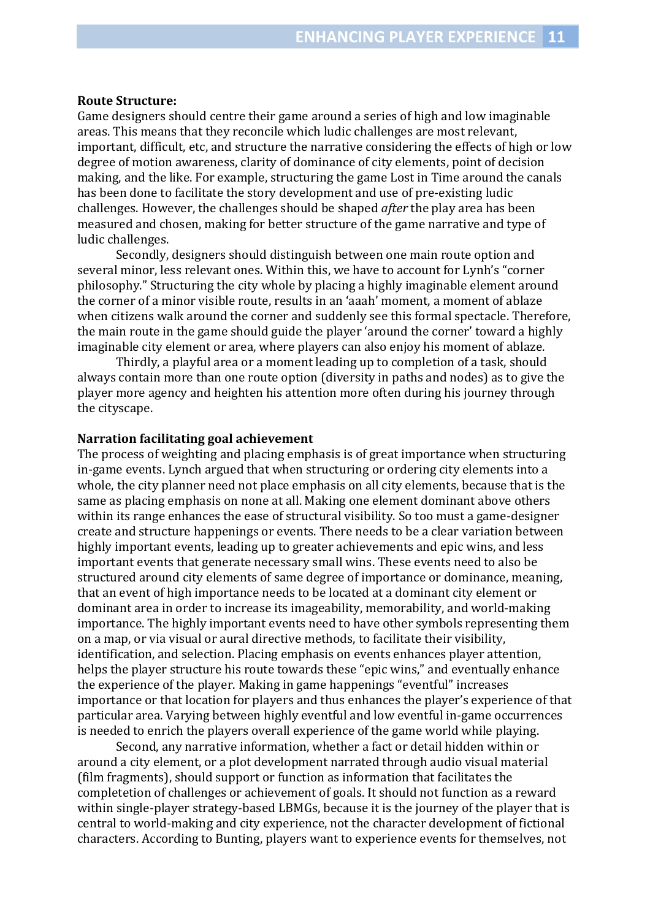#### **Route Structure:**

Game designers should centre their game around a series of high and low imaginable areas. This means that they reconcile which ludic challenges are most relevant, important, difficult, etc, and structure the narrative considering the effects of high or low degree of motion awareness, clarity of dominance of city elements, point of decision making, and the like. For example, structuring the game Lost in Time around the canals has been done to facilitate the story development and use of pre-existing ludic challenges. However, the challenges should be shaped *after* the play area has been measured and chosen, making for better structure of the game narrative and type of ludic challenges.

 Secondly, designers should distinguish between one main route option and several minor, less relevant ones. Within this, we have to account for Lynh's "corner philosophy." Structuring the city whole by placing a highly imaginable element around the corner of a minor visible route, results in an 'aaah' moment, a moment of ablaze when citizens walk around the corner and suddenly see this formal spectacle. Therefore, the main route in the game should guide the player 'around the corner' toward a highly imaginable city element or area, where players can also enjoy his moment of ablaze.

 Thirdly, a playful area or a moment leading up to completion of a task, should always contain more than one route option (diversity in paths and nodes) as to give the player more agency and heighten his attention more often during his journey through the cityscape.

#### **Narration facilitating goal achievement**

The process of weighting and placing emphasis is of great importance when structuring in-game events. Lynch argued that when structuring or ordering city elements into a whole, the city planner need not place emphasis on all city elements, because that is the same as placing emphasis on none at all. Making one element dominant above others within its range enhances the ease of structural visibility. So too must a game-designer create and structure happenings or events. There needs to be a clear variation between highly important events, leading up to greater achievements and epic wins, and less important events that generate necessary small wins. These events need to also be structured around city elements of same degree of importance or dominance, meaning, that an event of high importance needs to be located at a dominant city element or dominant area in order to increase its imageability, memorability, and world-making importance. The highly important events need to have other symbols representing them on a map, or via visual or aural directive methods, to facilitate their visibility, identification, and selection. Placing emphasis on events enhances player attention, helps the player structure his route towards these "epic wins," and eventually enhance the experience of the player. Making in game happenings "eventful" increases importance or that location for players and thus enhances the player's experience of that particular area. Varying between highly eventful and low eventful in-game occurrences is needed to enrich the players overall experience of the game world while playing.

 Second, any narrative information, whether a fact or detail hidden within or around a city element, or a plot development narrated through audio visual material (film fragments), should support or function as information that facilitates the completetion of challenges or achievement of goals. It should not function as a reward within single-player strategy-based LBMGs, because it is the journey of the player that is central to world-making and city experience, not the character development of fictional characters. According to Bunting, players want to experience events for themselves, not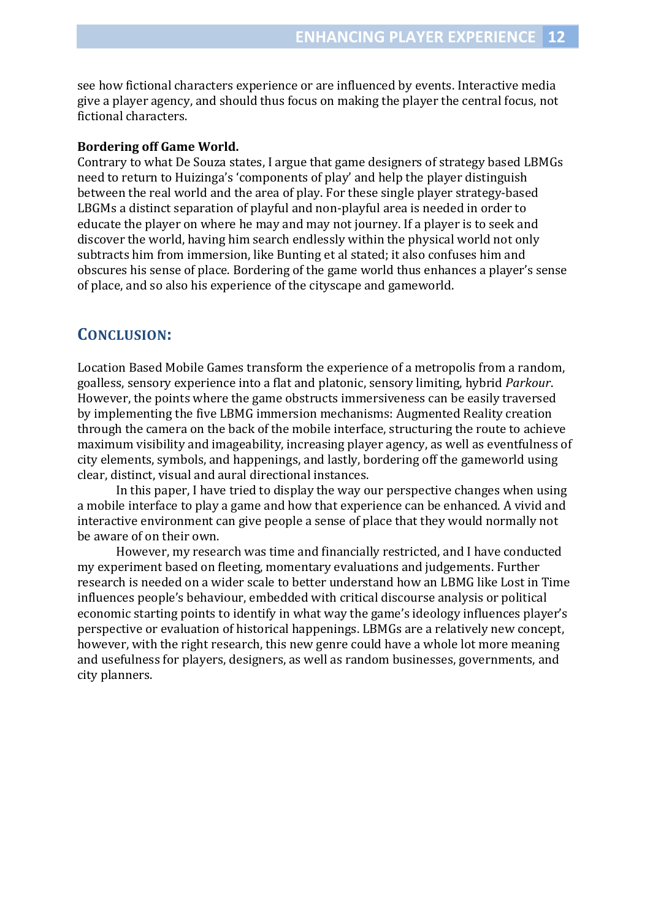see how fictional characters experience or are influenced by events. Interactive media give a player agency, and should thus focus on making the player the central focus, not fictional characters.

#### **Bordering off Game World.**

Contrary to what De Souza states, I argue that game designers of strategy based LBMGs need to return to Huizinga's 'components of play' and help the player distinguish between the real world and the area of play. For these single player strategy-based LBGMs a distinct separation of playful and non-playful area is needed in order to educate the player on where he may and may not journey. If a player is to seek and discover the world, having him search endlessly within the physical world not only subtracts him from immersion, like Bunting et al stated; it also confuses him and obscures his sense of place. Bordering of the game world thus enhances a player's sense of place, and so also his experience of the cityscape and gameworld.

## **CONCLUSION:**

Location Based Mobile Games transform the experience of a metropolis from a random, goalless, sensory experience into a flat and platonic, sensory limiting, hybrid *Parkour*. However, the points where the game obstructs immersiveness can be easily traversed by implementing the five LBMG immersion mechanisms: Augmented Reality creation through the camera on the back of the mobile interface, structuring the route to achieve maximum visibility and imageability, increasing player agency, as well as eventfulness of city elements, symbols, and happenings, and lastly, bordering off the gameworld using clear, distinct, visual and aural directional instances.

 In this paper, I have tried to display the way our perspective changes when using a mobile interface to play a game and how that experience can be enhanced. A vivid and interactive environment can give people a sense of place that they would normally not be aware of on their own.

 However, my research was time and financially restricted, and I have conducted my experiment based on fleeting, momentary evaluations and judgements. Further research is needed on a wider scale to better understand how an LBMG like Lost in Time influences people's behaviour, embedded with critical discourse analysis or political economic starting points to identify in what way the game's ideology influences player's perspective or evaluation of historical happenings. LBMGs are a relatively new concept, however, with the right research, this new genre could have a whole lot more meaning and usefulness for players, designers, as well as random businesses, governments, and city planners.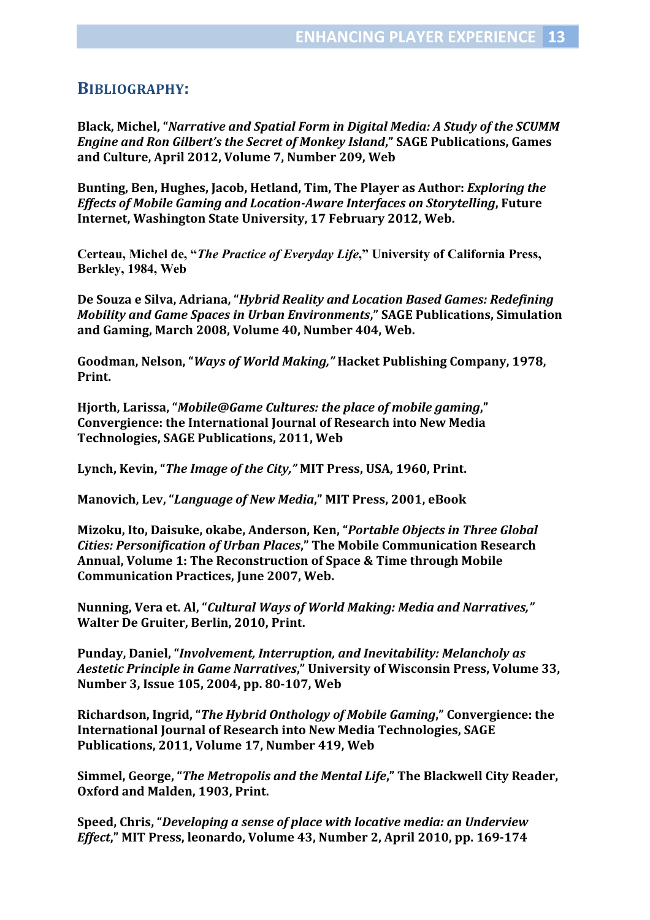### **BIBLIOGRAPHY:**

**Black, Michel, "***Narrative and Spatial Form in Digital Media: A Study of the SCUMM Engine and Ron Gilbert's the Secret of Monkey Island***," SAGE Publications, Games and Culture, April 2012, Volume 7, Number 209, Web** 

**Bunting, Ben, Hughes, Jacob, Hetland, Tim, The Player as Author:** *Exploring the Effects of Mobile Gaming and Location-Aware Interfaces on Storytelling***, Future Internet, Washington State University, 17 February 2012, Web.** 

**Certeau, Michel de, "***The Practice of Everyday Life***," University of California Press, Berkley, 1984, Web** 

**De Souza e Silva, Adriana, "***Hybrid Reality and Location Based Games: Redefining Mobility and Game Spaces in Urban Environments***," SAGE Publications, Simulation and Gaming, March 2008, Volume 40, Number 404, Web.** 

**Goodman, Nelson, "***Ways of World Making,"* **Hacket Publishing Company, 1978, Print.** 

**Hjorth, Larissa, "***Mobile@Game Cultures: the place of mobile gaming***," Convergience: the International Journal of Research into New Media Technologies, SAGE Publications, 2011, Web** 

**Lynch, Kevin, "***The Image of the City,"* **MIT Press, USA, 1960, Print.** 

**Manovich, Lev, "***Language of New Media***," MIT Press, 2001, eBook** 

**Mizoku, Ito, Daisuke, okabe, Anderson, Ken, "***Portable Objects in Three Global Cities: Personification of Urban Places***," The Mobile Communication Research Annual, Volume 1: The Reconstruction of Space & Time through Mobile Communication Practices, June 2007, Web.** 

**Nunning, Vera et. Al, "***Cultural Ways of World Making: Media and Narratives,"* **Walter De Gruiter, Berlin, 2010, Print.** 

**Punday, Daniel, "***Involvement, Interruption, and Inevitability: Melancholy as Aestetic Principle in Game Narratives***," University of Wisconsin Press, Volume 33, Number 3, Issue 105, 2004, pp. 80-107, Web** 

**Richardson, Ingrid, "***The Hybrid Onthology of Mobile Gaming***," Convergience: the International Journal of Research into New Media Technologies, SAGE Publications, 2011, Volume 17, Number 419, Web** 

**Simmel, George, "***The Metropolis and the Mental Life***," The Blackwell City Reader, Oxford and Malden, 1903, Print.** 

**Speed, Chris, "***Developing a sense of place with locative media: an Underview Effect***," MIT Press, leonardo, Volume 43, Number 2, April 2010, pp. 169-174**